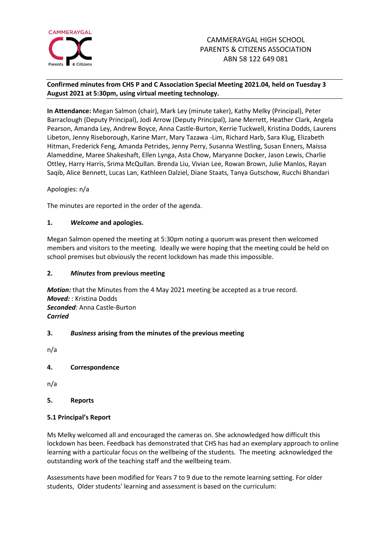

# **Confirmed minutes from CHS P and C Association Special Meeting 2021.04, held on Tuesday 3 August 2021 at 5:30pm, using virtual meeting technology.**

**In Attendance:** Megan Salmon (chair), Mark Ley (minute taker), Kathy Melky (Principal), Peter Barraclough (Deputy Principal), Jodi Arrow (Deputy Principal), Jane Merrett, Heather Clark, Angela Pearson, Amanda Ley, Andrew Boyce, Anna Castle-Burton, Kerrie Tuckwell, Kristina Dodds, Laurens Libeton, Jenny Riseborough, Karine Marr, Mary Tazawa -Lim, Richard Harb, Sara Klug, Elizabeth Hitman, Frederick Feng, Amanda Petrides, Jenny Perry, Susanna Westling, Susan Enners, Maissa Alameddine, Maree Shakeshaft, Ellen Lynga, Asta Chow, Maryanne Docker, Jason Lewis, Charlie Ottley, Harry Harris, Srima McQullan. Brenda Liu, Vivian Lee, Rowan Brown, Julie Manlos, Rayan Saqib, Alice Bennett, Lucas Lan, Kathleen Dalziel, Diane Staats, Tanya Gutschow, Rucchi Bhandari

Apologies: n/a

The minutes are reported in the order of the agenda.

## **1.** *Welcome* **and apologies.**

Megan Salmon opened the meeting at 5:30pm noting a quorum was present then welcomed members and visitors to the meeting. Ideally we were hoping that the meeting could be held on school premises but obviously the recent lockdown has made this impossible.

### **2.** *Minutes* **from previous meeting**

*Motion:* that the Minutes from the 4 May 2021 meeting be accepted as a true record. *Moved:* : Kristina Dodds *Seconded*: Anna Castle-Burton *Carried*

# **3.** *Business* **arising from the minutes of the previous meeting**

n/a

**4. Correspondence**

n/a

**5. Reports**

### **5.1 Principal's Report**

Ms Melky welcomed all and encouraged the cameras on. She acknowledged how difficult this lockdown has been. Feedback has demonstrated that CHS has had an exemplary approach to online learning with a particular focus on the wellbeing of the students. The meeting acknowledged the outstanding work of the teaching staff and the wellbeing team.

Assessments have been modified for Years 7 to 9 due to the remote learning setting. For older students, Older students' learning and assessment is based on the curriculum: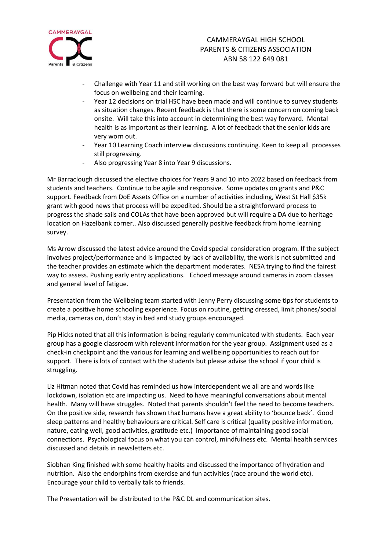

- Challenge with Year 11 and still working on the best way forward but will ensure the focus on wellbeing and their learning.
- Year 12 decisions on trial HSC have been made and will continue to survey students as situation changes. Recent feedback is that there is some concern on coming back onsite. Will take this into account in determining the best way forward. Mental health is as important as their learning. A lot of feedback that the senior kids are very worn out.
- Year 10 Learning Coach interview discussions continuing. Keen to keep all processes still progressing.
- Also progressing Year 8 into Year 9 discussions.

Mr Barraclough discussed the elective choices for Years 9 and 10 into 2022 based on feedback from students and teachers. Continue to be agile and responsive. Some updates on grants and P&C support. Feedback from DoE Assets Office on a number of activities including, West St Hall \$35k grant with good news that process will be expedited. Should be a straightforward process to progress the shade sails and COLAs that have been approved but will require a DA due to heritage location on Hazelbank corner.. Also discussed generally positive feedback from home learning survey.

Ms Arrow discussed the latest advice around the Covid special consideration program. If the subject involves project/performance and is impacted by lack of availability, the work is not submitted and the teacher provides an estimate which the department moderates. NESA trying to find the fairest way to assess. Pushing early entry applications. Echoed message around cameras in zoom classes and general level of fatigue.

Presentation from the Wellbeing team started with Jenny Perry discussing some tips for students to create a positive home schooling experience. Focus on routine, getting dressed, limit phones/social media, cameras on, don't stay in bed and study groups encouraged.

Pip Hicks noted that all this information is being regularly communicated with students. Each year group has a google classroom with relevant information for the year group. Assignment used as a check-in checkpoint and the various for learning and wellbeing opportunities to reach out for support. There is lots of contact with the students but please advise the school if your child is struggling.

Liz Hitman noted that Covid has reminded us how interdependent we all are and words like lockdown, isolation etc are impacting us. Need **to** have meaningful conversations about mental health. Many will have struggles. Noted that parents shouldn't feel the need to become teachers. On the positive side, research has shown tha*t* humans have a great ability to 'bounce back'. Good sleep patterns and healthy behaviours are critical. Self care is critical (quality positive information, nature, eating well, good activities, gratitude etc.) Importance of maintaining good social connections. Psychological focus on what you can control, mindfulness etc. Mental health services discussed and details in newsletters etc.

Siobhan King finished with some healthy habits and discussed the importance of hydration and nutrition. Also the endorphins from exercise and fun activities (race around the world etc). Encourage your child to verbally talk to friends.

The Presentation will be distributed to the P&C DL and communication sites.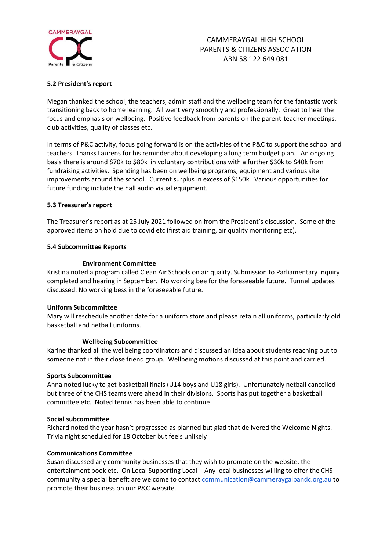

## **5.2 President's report**

Megan thanked the school, the teachers, admin staff and the wellbeing team for the fantastic work transitioning back to home learning. All went very smoothly and professionally. Great to hear the focus and emphasis on wellbeing. Positive feedback from parents on the parent-teacher meetings, club activities, quality of classes etc.

In terms of P&C activity, focus going forward is on the activities of the P&C to support the school and teachers. Thanks Laurens for his reminder about developing a long term budget plan. An ongoing basis there is around \$70k to \$80k in voluntary contributions with a further \$30k to \$40k from fundraising activities. Spending has been on wellbeing programs, equipment and various site improvements around the school. Current surplus in excess of \$150k. Various opportunities for future funding include the hall audio visual equipment.

## **5.3 Treasurer's report**

The Treasurer's report as at 25 July 2021 followed on from the President's discussion. Some of the approved items on hold due to covid etc (first aid training, air quality monitoring etc).

### **5.4 Subcommittee Reports**

### **Environment Committee**

Kristina noted a program called Clean Air Schools on air quality. Submission to Parliamentary Inquiry completed and hearing in September. No working bee for the foreseeable future. Tunnel updates discussed. No working bess in the foreseeable future.

### **Uniform Subcommittee**

Mary will reschedule another date for a uniform store and please retain all uniforms, particularly old basketball and netball uniforms.

#### **Wellbeing Subcommittee**

Karine thanked all the wellbeing coordinators and discussed an idea about students reaching out to someone not in their close friend group. Wellbeing motions discussed at this point and carried.

#### **Sports Subcommittee**

Anna noted lucky to get basketball finals (U14 boys and U18 girls). Unfortunately netball cancelled but three of the CHS teams were ahead in their divisions. Sports has put together a basketball committee etc. Noted tennis has been able to continue

#### **Social subcommittee**

Richard noted the year hasn't progressed as planned but glad that delivered the Welcome Nights. Trivia night scheduled for 18 October but feels unlikely

### **Communications Committee**

Susan discussed any community businesses that they wish to promote on the website, the entertainment book etc. On Local Supporting Local - Any local businesses willing to offer the CHS community a special benefit are welcome to contac[t communication@cammeraygalpandc.org.au](mailto:communication@cammeraygalpandc.org.au) to promote their business on our P&C website.